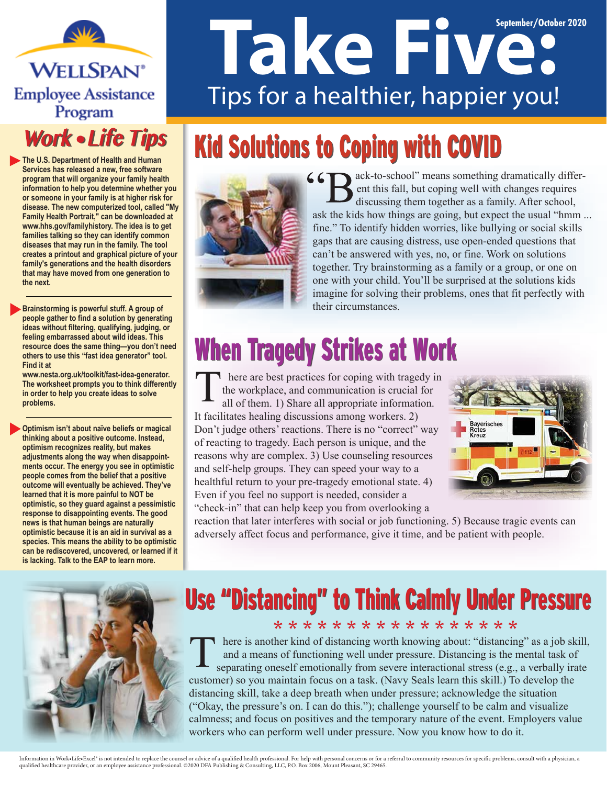**WELLSPAN**<sup>®</sup> **Employee Assistance** Program

#### **Work • Life Tips**

**The U.S. Department of Health and Human Services has released a new, free software program that will organize your family health information to help you determine whether you or someone in your family is at higher risk for disease. The new computerized tool, called "My Family Health Portrait," can be downloaded at www.hhs.gov/familyhistory. The idea is to get families talking so they can identify common diseases that may run in the family. The tool creates a printout and graphical picture of your family's generations and the health disorders that may have moved from one generation to the next.**

**Brainstorming is powerful stuff. A group of people gather to find a solution by generating ideas without filtering, qualifying, judging, or feeling embarrassed about wild ideas. This resource does the same thing—you don't need others to use this "fast idea generator" tool. Find it at** 

**www.nesta.org.uk/toolkit/fast-idea-generator. The worksheet prompts you to think differently in order to help you create ideas to solve problems.**

**Optimism isn't about naïve beliefs or magical thinking about a positive outcome. Instead, optimism recognizes reality, but makes adjustments along the way when disappointments occur. The energy you see in optimistic people comes from the belief that a positive outcome will eventually be achieved. They've learned that it is more painful to NOT be optimistic, so they guard against a pessimistic response to disappointing events. The good news is that human beings are naturally optimistic because it is an aid in survival as a species. This means the ability to be optimistic can be rediscovered, uncovered, or learned if it is lacking. Talk to the EAP to learn more.**

# **Take Five: 2020** Tips for a healthier, happier you!

## Kid Solutions to Coping with COVID



ack-to-school" means something dramatically different this fall, but coping well with changes requires discussing them together as a family. After school, ask the kids how things are going, but expect the usual "hmm ... fine." To identify hidden worries, like bullying or social skills gaps that are causing distress, use open-ended questions that can't be answered with yes, no, or fine. Work on solutions together. Try brainstorming as a family or a group, or one on one with your child. You'll be surprised at the solutions kids imagine for solving their problems, ones that fit perfectly with their circumstances.

### When Tragedy Strikes at Work

here are best practices for coping with tragedy in the workplace, and communication is crucial for all of them. 1) Share all appropriate information. It facilitates healing discussions among workers. 2) Don't judge others' reactions. There is no "correct" way of reacting to tragedy. Each person is unique, and the reasons why are complex. 3) Use counseling resources and self-help groups. They can speed your way to a healthful return to your pre-tragedy emotional state. 4) Even if you feel no support is needed, consider a "check-in" that can help keep you from overlooking a



reaction that later interferes with social or job functioning. 5) Because tragic events can adversely affect focus and performance, give it time, and be patient with people.



#### Use "Distancing" to Think Calmly Under Pressure \* \* \* \* \* \* \* \* \* \* \* \* \* \* \* \* \*

here is another kind of distancing worth knowing about: "distancing" as a job skill, and a means of functioning well under pressure. Distancing is the mental task of separating oneself emotionally from severe interactional stress (e.g., a verbally irate customer) so you maintain focus on a task. (Navy Seals learn this skill.) To develop the distancing skill, take a deep breath when under pressure; acknowledge the situation ("Okay, the pressure's on. I can do this."); challenge yourself to be calm and visualize calmness; and focus on positives and the temporary nature of the event. Employers value workers who can perform well under pressure. Now you know how to do it.